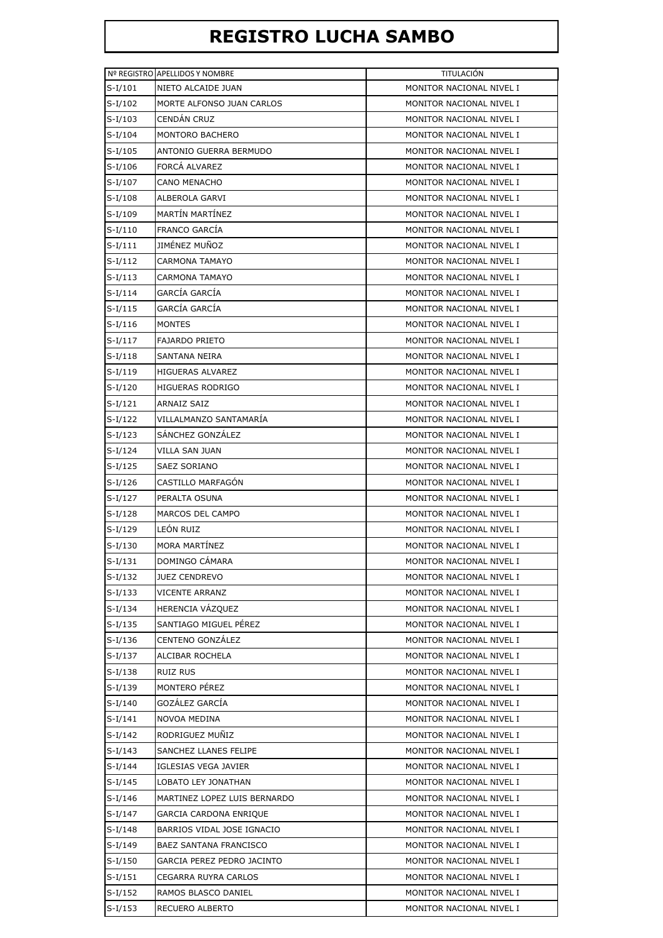## **REGISTRO LUCHA SAMBO**

|           | Nº REGISTRO APELLIDOS Y NOMBRE | <b>TITULACION</b>        |
|-----------|--------------------------------|--------------------------|
| $S-I/101$ | NIETO ALCAIDE JUAN             | MONITOR NACIONAL NIVEL I |
| $S-I/102$ | MORTE ALFONSO JUAN CARLOS      | MONITOR NACIONAL NIVEL I |
| $S-I/103$ | CENDAN CRUZ                    | MONITOR NACIONAL NIVEL I |
| $S-I/104$ | MONTORO BACHERO                | MONITOR NACIONAL NIVEL I |
| $S-I/105$ | ANTONIO GUERRA BERMUDO         | MONITOR NACIONAL NIVEL I |
| S-I/106   | FORCA ALVAREZ                  | MONITOR NACIONAL NIVEL I |
| $S-I/107$ | <b>CANO MENACHO</b>            | MONITOR NACIONAL NIVEL I |
| $S-I/108$ | ALBEROLA GARVI                 | MONITOR NACIONAL NIVEL I |
| $S-I/109$ | <b>MARTÍN MARTÍNEZ</b>         | MONITOR NACIONAL NIVEL I |
| $S-I/110$ | <b>FRANCO GARCÍA</b>           | MONITOR NACIONAL NIVEL I |
| $S-I/111$ | JIMÉNEZ MUÑOZ                  | MONITOR NACIONAL NIVEL I |
| $S-I/112$ | CARMONA TAMAYO                 | MONITOR NACIONAL NIVEL I |
| $S-I/113$ | <b>CARMONA TAMAYO</b>          | MONITOR NACIONAL NIVEL I |
| $S-I/114$ | GARCÍA GARCÍA                  | MONITOR NACIONAL NIVEL I |
| $S-I/115$ | GARCÍA GARCÍA                  | MONITOR NACIONAL NIVEL I |
| $S-I/116$ | <b>MONTES</b>                  | MONITOR NACIONAL NIVEL I |
| $S-I/117$ | <b>FAJARDO PRIETO</b>          | MONITOR NACIONAL NIVEL I |
| $S-I/118$ | SANTANA NEIRA                  | MONITOR NACIONAL NIVEL I |
| $S-I/119$ | <b>HIGUERAS ALVAREZ</b>        | MONITOR NACIONAL NIVEL I |
| $S-I/120$ | HIGUERAS RODRIGO               | MONITOR NACIONAL NIVEL I |
| $S-I/121$ | ARNAIZ SAIZ                    | MONITOR NACIONAL NIVEL I |
| $S-I/122$ | VILLALMANZO SANTAMARÍA         | MONITOR NACIONAL NIVEL I |
| $S-I/123$ | SANCHEZ GONZALEZ               | MONITOR NACIONAL NIVEL I |
| $S-I/124$ | VILLA SAN JUAN                 | MONITOR NACIONAL NIVEL I |
| $S-I/125$ | <b>SAEZ SORIANO</b>            | MONITOR NACIONAL NIVEL I |
| $S-I/126$ | CASTILLO MARFAGÓN              | MONITOR NACIONAL NIVEL I |
| $S-I/127$ | PERALTA OSUNA                  | MONITOR NACIONAL NIVEL I |
| $S-I/128$ | MARCOS DEL CAMPO               | MONITOR NACIONAL NIVEL I |
| $S-I/129$ | LEÓN RUIZ                      | MONITOR NACIONAL NIVEL I |
| $S-I/130$ | <b>MORA MARTÍNEZ</b>           | MONITOR NACIONAL NIVEL I |
| $S-I/131$ | DOMINGO CÁMARA                 | MONITOR NACIONAL NIVEL I |
| $S-I/132$ | <b>JUEZ CENDREVO</b>           | MONITOR NACIONAL NIVEL I |
| $S-I/133$ | <b>VICENTE ARRANZ</b>          | MONITOR NACIONAL NIVEL I |
| $S-I/134$ | HERENCIA VÁZQUEZ               | MONITOR NACIONAL NIVEL I |
| $S-I/135$ | SANTIAGO MIGUEL PÉREZ          | MONITOR NACIONAL NIVEL I |
| $S-I/136$ | CENTENO GONZÁLEZ               | MONITOR NACIONAL NIVEL I |
| $S-I/137$ | ALCIBAR ROCHELA                | MONITOR NACIONAL NIVEL I |
| $S-I/138$ | RUIZ RUS                       | MONITOR NACIONAL NIVEL I |
| $S-I/139$ | MONTERO PÉREZ                  | MONITOR NACIONAL NIVEL I |
| $S-I/140$ | GOZÁLEZ GARCÍA                 | MONITOR NACIONAL NIVEL I |
| $S-I/141$ | NOVOA MEDINA                   | MONITOR NACIONAL NIVEL I |
| $S-I/142$ | RODRIGUEZ MUÑIZ                | MONITOR NACIONAL NIVEL I |
| $S-I/143$ | SANCHEZ LLANES FELIPE          | MONITOR NACIONAL NIVEL I |
| $S-I/144$ | IGLESIAS VEGA JAVIER           | MONITOR NACIONAL NIVEL I |
| $S-I/145$ | LOBATO LEY JONATHAN            | MONITOR NACIONAL NIVEL I |
| $S-I/146$ | MARTINEZ LOPEZ LUIS BERNARDO   | MONITOR NACIONAL NIVEL I |
| $S-I/147$ | GARCIA CARDONA ENRIQUE         | MONITOR NACIONAL NIVEL I |
| $S-I/148$ | BARRIOS VIDAL JOSE IGNACIO     | MONITOR NACIONAL NIVEL I |
| $S-I/149$ | BAEZ SANTANA FRANCISCO         | MONITOR NACIONAL NIVEL I |
| $S-I/150$ | GARCIA PEREZ PEDRO JACINTO     | MONITOR NACIONAL NIVEL I |
| $S-I/151$ | CEGARRA RUYRA CARLOS           | MONITOR NACIONAL NIVEL I |
| $S-I/152$ | RAMOS BLASCO DANIEL            | MONITOR NACIONAL NIVEL I |
| $S-I/153$ | RECUERO ALBERTO                | MONITOR NACIONAL NIVEL I |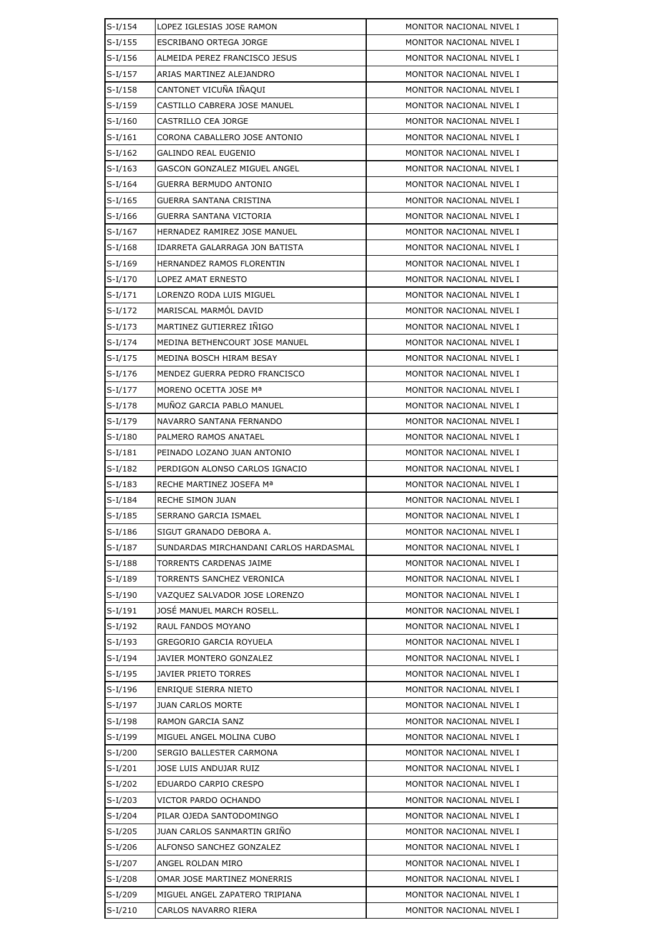| $S-I/154$ | LOPEZ IGLESIAS JOSE RAMON              | MONITOR NACIONAL NIVEL I |  |
|-----------|----------------------------------------|--------------------------|--|
| $S-I/155$ | ESCRIBANO ORTEGA JORGE                 | MONITOR NACIONAL NIVEL I |  |
| $S-I/156$ | ALMEIDA PEREZ FRANCISCO JESUS          | MONITOR NACIONAL NIVEL I |  |
| $S-I/157$ | ARIAS MARTINEZ ALEJANDRO               | MONITOR NACIONAL NIVEL I |  |
| $S-I/158$ | CANTONET VICUÑA IÑAQUI                 | MONITOR NACIONAL NIVEL I |  |
| $S-I/159$ | CASTILLO CABRERA JOSE MANUEL           | MONITOR NACIONAL NIVEL I |  |
| $S-I/160$ | CASTRILLO CEA JORGE                    | MONITOR NACIONAL NIVEL I |  |
| $S-I/161$ | CORONA CABALLERO JOSE ANTONIO          | MONITOR NACIONAL NIVEL I |  |
| $S-I/162$ | GALINDO REAL EUGENIO                   | MONITOR NACIONAL NIVEL I |  |
| $S-I/163$ | GASCON GONZALEZ MIGUEL ANGEL           | MONITOR NACIONAL NIVEL I |  |
| $S-I/164$ | GUERRA BERMUDO ANTONIO                 | MONITOR NACIONAL NIVEL I |  |
| $S-I/165$ | GUERRA SANTANA CRISTINA                | MONITOR NACIONAL NIVEL I |  |
| $S-I/166$ | GUERRA SANTANA VICTORIA                | MONITOR NACIONAL NIVEL I |  |
| $S-I/167$ | HERNADEZ RAMIREZ JOSE MANUEL           | MONITOR NACIONAL NIVEL I |  |
| $S-I/168$ | IDARRETA GALARRAGA JON BATISTA         | MONITOR NACIONAL NIVEL I |  |
| $S-I/169$ | HERNANDEZ RAMOS FLORENTIN              | MONITOR NACIONAL NIVEL I |  |
| $S-I/170$ | LOPEZ AMAT ERNESTO                     | MONITOR NACIONAL NIVEL I |  |
| $S-I/171$ | LORENZO RODA LUIS MIGUEL               | MONITOR NACIONAL NIVEL I |  |
| $S-I/172$ | MARISCAL MARMÓL DAVID                  | MONITOR NACIONAL NIVEL I |  |
| $S-I/173$ | MARTINEZ GUTIERREZ IÑIGO               | MONITOR NACIONAL NIVEL I |  |
| $S-I/174$ | MEDINA BETHENCOURT JOSE MANUEL         | MONITOR NACIONAL NIVEL I |  |
| $S-I/175$ | MEDINA BOSCH HIRAM BESAY               | MONITOR NACIONAL NIVEL I |  |
| S-I/176   | MENDEZ GUERRA PEDRO FRANCISCO          | MONITOR NACIONAL NIVEL I |  |
| S-I/177   | MORENO OCETTA JOSE Mª                  | MONITOR NACIONAL NIVEL I |  |
| $S-I/178$ | MUNOZ GARCIA PABLO MANUEL              | MONITOR NACIONAL NIVEL I |  |
| $S-I/179$ | NAVARRO SANTANA FERNANDO               | MONITOR NACIONAL NIVEL I |  |
| $S-I/180$ | PALMERO RAMOS ANATAEL                  | MONITOR NACIONAL NIVEL I |  |
| $S-I/181$ | PEINADO LOZANO JUAN ANTONIO            | MONITOR NACIONAL NIVEL I |  |
| $S-I/182$ | PERDIGON ALONSO CARLOS IGNACIO         | MONITOR NACIONAL NIVEL I |  |
| $S-I/183$ | RECHE MARTINEZ JOSEFA Mª               | MONITOR NACIONAL NIVEL I |  |
| $S-I/184$ | <b>RECHE SIMON JUAN</b>                | MONITOR NACIONAL NIVEL I |  |
| $S-I/185$ | SERRANO GARCIA ISMAEL                  | MONITOR NACIONAL NIVEL I |  |
| S-I/186   | SIGUT GRANADO DEBORA A.                | MONITOR NACIONAL NIVEL I |  |
| S-I/187   | SUNDARDAS MIRCHANDANI CARLOS HARDASMAL | MONITOR NACIONAL NIVEL I |  |
| $S-I/188$ | TORRENTS CARDENAS JAIME                | MONITOR NACIONAL NIVEL I |  |
| $S-I/189$ | TORRENTS SANCHEZ VERONICA              | MONITOR NACIONAL NIVEL I |  |
| $S-I/190$ | VAZQUEZ SALVADOR JOSE LORENZO          | MONITOR NACIONAL NIVEL I |  |
| $S-I/191$ | JOSÉ MANUEL MARCH ROSELL.              | MONITOR NACIONAL NIVEL I |  |
| $S-I/192$ | RAUL FANDOS MOYANO                     | MONITOR NACIONAL NIVEL I |  |
| S-I/193   | <b>GREGORIO GARCIA ROYUELA</b>         | MONITOR NACIONAL NIVEL I |  |
| $S-I/194$ | JAVIER MONTERO GONZALEZ                | MONITOR NACIONAL NIVEL I |  |
| S-I/195   | JAVIER PRIETO TORRES                   | MONITOR NACIONAL NIVEL I |  |
| $S-I/196$ | ENRIQUE SIERRA NIETO                   | MONITOR NACIONAL NIVEL I |  |
| S-I/197   | <b>JUAN CARLOS MORTE</b>               | MONITOR NACIONAL NIVEL I |  |
| $S-I/198$ | RAMON GARCIA SANZ                      | MONITOR NACIONAL NIVEL I |  |
| S-I/199   | MIGUEL ANGEL MOLINA CUBO               | MONITOR NACIONAL NIVEL I |  |
| $S-I/200$ | SERGIO BALLESTER CARMONA               | MONITOR NACIONAL NIVEL I |  |
| $S-I/201$ | JOSE LUIS ANDUJAR RUIZ                 | MONITOR NACIONAL NIVEL I |  |
| S-I/202   | EDUARDO CARPIO CRESPO                  | MONITOR NACIONAL NIVEL I |  |
| $S-I/203$ | VICTOR PARDO OCHANDO                   | MONITOR NACIONAL NIVEL I |  |
| S-I/204   | PILAR OJEDA SANTODOMINGO               | MONITOR NACIONAL NIVEL I |  |
| $S-I/205$ | JUAN CARLOS SANMARTIN GRIÑO            | MONITOR NACIONAL NIVEL I |  |
| $S-I/206$ | ALFONSO SANCHEZ GONZALEZ               | MONITOR NACIONAL NIVEL I |  |
| $S-I/207$ | ANGEL ROLDAN MIRO                      | MONITOR NACIONAL NIVEL I |  |
| $S-I/208$ | OMAR JOSE MARTINEZ MONERRIS            | MONITOR NACIONAL NIVEL I |  |
| S-I/209   | MIGUEL ANGEL ZAPATERO TRIPIANA         | MONITOR NACIONAL NIVEL I |  |
| $S-I/210$ | CARLOS NAVARRO RIERA                   | MONITOR NACIONAL NIVEL I |  |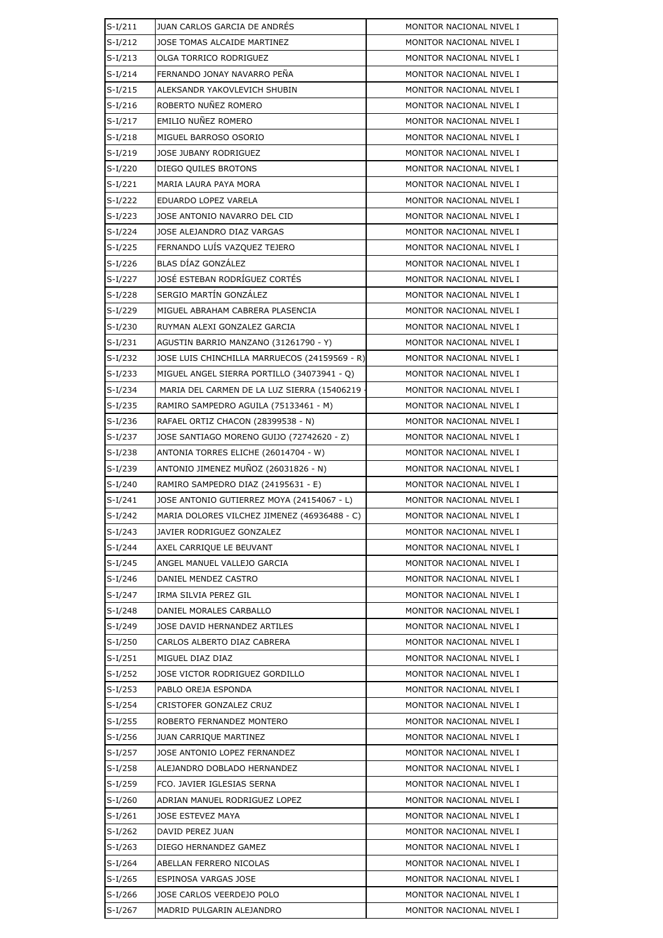| $S-I/211$ | JUAN CARLOS GARCIA DE ANDRÉS                  | MONITOR NACIONAL NIVEL I |  |  |
|-----------|-----------------------------------------------|--------------------------|--|--|
| $S-I/212$ | JOSE TOMAS ALCAIDE MARTINEZ                   | MONITOR NACIONAL NIVEL I |  |  |
| $S-I/213$ | OLGA TORRICO RODRIGUEZ                        | MONITOR NACIONAL NIVEL I |  |  |
| $S-I/214$ | FERNANDO JONAY NAVARRO PEÑA                   | MONITOR NACIONAL NIVEL I |  |  |
| $S-I/215$ | ALEKSANDR YAKOVLEVICH SHUBIN                  | MONITOR NACIONAL NIVEL I |  |  |
| $S-I/216$ | ROBERTO NUÑEZ ROMERO                          | MONITOR NACIONAL NIVEL I |  |  |
| $S-I/217$ | EMILIO NUÑEZ ROMERO                           | MONITOR NACIONAL NIVEL I |  |  |
| $S-I/218$ | MIGUEL BARROSO OSORIO                         | MONITOR NACIONAL NIVEL I |  |  |
| $S-I/219$ | JOSE JUBANY RODRIGUEZ                         | MONITOR NACIONAL NIVEL I |  |  |
| $S-I/220$ | DIEGO QUILES BROTONS                          | MONITOR NACIONAL NIVEL I |  |  |
| $S-I/221$ | MARIA LAURA PAYA MORA                         | MONITOR NACIONAL NIVEL I |  |  |
| $S-I/222$ | EDUARDO LOPEZ VARELA                          | MONITOR NACIONAL NIVEL I |  |  |
| $S-I/223$ | JOSE ANTONIO NAVARRO DEL CID                  | MONITOR NACIONAL NIVEL I |  |  |
| $S-I/224$ | JOSE ALEJANDRO DIAZ VARGAS                    | MONITOR NACIONAL NIVEL I |  |  |
| $S-I/225$ | FERNANDO LUÍS VAZQUEZ TEJERO                  | MONITOR NACIONAL NIVEL I |  |  |
| $S-I/226$ | BLAS DÍAZ GONZÁLEZ                            | MONITOR NACIONAL NIVEL I |  |  |
| $S-I/227$ | JOSÉ ESTEBAN RODRÍGUEZ CORTÉS                 | MONITOR NACIONAL NIVEL I |  |  |
| $S-I/228$ | SERGIO MARTÍN GONZÁLEZ                        | MONITOR NACIONAL NIVEL I |  |  |
| $S-I/229$ | MIGUEL ABRAHAM CABRERA PLASENCIA              | MONITOR NACIONAL NIVEL I |  |  |
| $S-I/230$ | RUYMAN ALEXI GONZALEZ GARCIA                  | MONITOR NACIONAL NIVEL I |  |  |
| $S-I/231$ | AGUSTIN BARRIO MANZANO (31261790 - Y)         | MONITOR NACIONAL NIVEL I |  |  |
| $S-I/232$ | JOSE LUIS CHINCHILLA MARRUECOS (24159569 - R) | MONITOR NACIONAL NIVEL I |  |  |
| $S-I/233$ | MIGUEL ANGEL SIERRA PORTILLO (34073941 - Q)   | MONITOR NACIONAL NIVEL I |  |  |
| $S-I/234$ | MARIA DEL CARMEN DE LA LUZ SIERRA (15406219   | MONITOR NACIONAL NIVEL I |  |  |
| $S-I/235$ | RAMIRO SAMPEDRO AGUILA (75133461 - M)         | MONITOR NACIONAL NIVEL I |  |  |
| $S-I/236$ | RAFAEL ORTIZ CHACON (28399538 - N)            | MONITOR NACIONAL NIVEL I |  |  |
| $S-I/237$ | JOSE SANTIAGO MORENO GUIJO (72742620 - Z)     | MONITOR NACIONAL NIVEL I |  |  |
| $S-I/238$ | ANTONIA TORRES ELICHE (26014704 - W)          | MONITOR NACIONAL NIVEL I |  |  |
| $S-I/239$ | ANTONIO JIMENEZ MUÑOZ (26031826 - N)          | MONITOR NACIONAL NIVEL I |  |  |
| $S-I/240$ | RAMIRO SAMPEDRO DIAZ (24195631 - E)           | MONITOR NACIONAL NIVEL I |  |  |
| $S-I/241$ | JOSE ANTONIO GUTIERREZ MOYA (24154067 - L)    | MONITOR NACIONAL NIVEL I |  |  |
| $S-I/242$ | MARIA DOLORES VILCHEZ JIMENEZ (46936488 - C)  | MONITOR NACIONAL NIVEL I |  |  |
| $S-I/243$ | JAVIER RODRIGUEZ GONZALEZ                     | MONITOR NACIONAL NIVEL I |  |  |
| $S-I/244$ | AXEL CARRIQUE LE BEUVANT                      | MONITOR NACIONAL NIVEL I |  |  |
| $S-I/245$ | ANGEL MANUEL VALLEJO GARCIA                   | MONITOR NACIONAL NIVEL I |  |  |
| $S-I/246$ | DANIEL MENDEZ CASTRO                          | MONITOR NACIONAL NIVEL I |  |  |
| $S-I/247$ | IRMA SILVIA PEREZ GIL                         | MONITOR NACIONAL NIVEL I |  |  |
| $S-I/248$ | DANIEL MORALES CARBALLO                       | MONITOR NACIONAL NIVEL I |  |  |
| $S-I/249$ | JOSE DAVID HERNANDEZ ARTILES                  | MONITOR NACIONAL NIVEL I |  |  |
| $S-I/250$ | CARLOS ALBERTO DIAZ CABRERA                   | MONITOR NACIONAL NIVEL I |  |  |
| $S-I/251$ | MIGUEL DIAZ DIAZ                              | MONITOR NACIONAL NIVEL I |  |  |
| $S-I/252$ | JOSE VICTOR RODRIGUEZ GORDILLO                | MONITOR NACIONAL NIVEL I |  |  |
| $S-I/253$ | PABLO OREJA ESPONDA                           | MONITOR NACIONAL NIVEL I |  |  |
| $S-I/254$ | CRISTOFER GONZALEZ CRUZ                       | MONITOR NACIONAL NIVEL I |  |  |
| $S-I/255$ | ROBERTO FERNANDEZ MONTERO                     | MONITOR NACIONAL NIVEL I |  |  |
| S-I/256   | <b>JUAN CARRIQUE MARTINEZ</b>                 | MONITOR NACIONAL NIVEL I |  |  |
| $S-I/257$ | JOSE ANTONIO LOPEZ FERNANDEZ                  | MONITOR NACIONAL NIVEL I |  |  |
| $S-I/258$ | ALEJANDRO DOBLADO HERNANDEZ                   | MONITOR NACIONAL NIVEL I |  |  |
| $S-I/259$ | FCO. JAVIER IGLESIAS SERNA                    | MONITOR NACIONAL NIVEL I |  |  |
| $S-I/260$ | ADRIAN MANUEL RODRIGUEZ LOPEZ                 | MONITOR NACIONAL NIVEL I |  |  |
| $S-I/261$ | JOSE ESTEVEZ MAYA                             | MONITOR NACIONAL NIVEL I |  |  |
| $S-I/262$ | DAVID PEREZ JUAN                              | MONITOR NACIONAL NIVEL I |  |  |
| S-I/263   | DIEGO HERNANDEZ GAMEZ                         | MONITOR NACIONAL NIVEL I |  |  |
| $S-I/264$ | ABELLAN FERRERO NICOLAS                       | MONITOR NACIONAL NIVEL I |  |  |
| $S-I/265$ | ESPINOSA VARGAS JOSE                          | MONITOR NACIONAL NIVEL I |  |  |
| S-I/266   | JOSE CARLOS VEERDEJO POLO                     | MONITOR NACIONAL NIVEL I |  |  |
| S-I/267   | MADRID PULGARIN ALEJANDRO                     | MONITOR NACIONAL NIVEL I |  |  |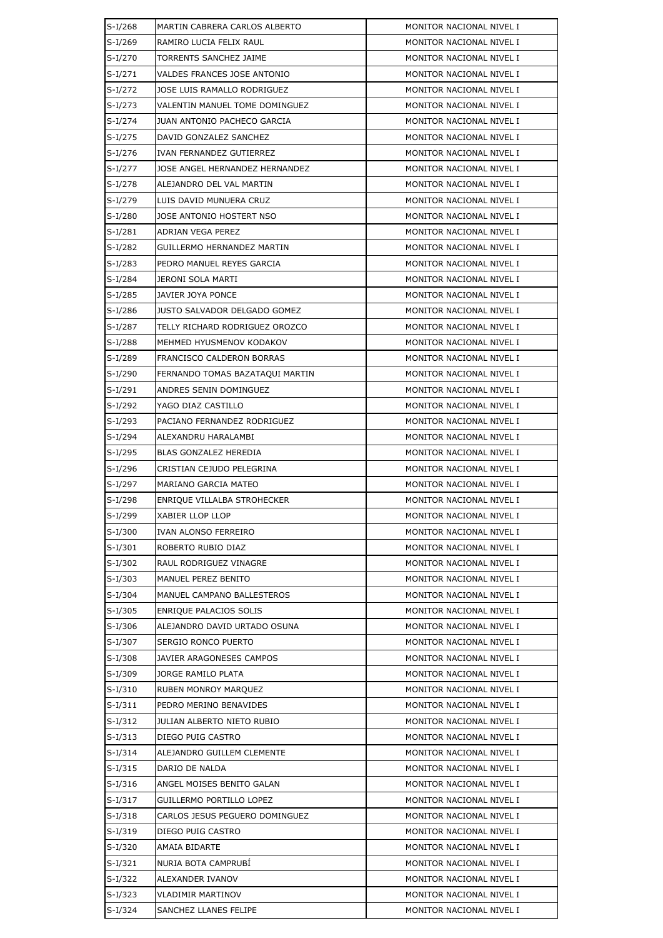| $S-I/268$ | MARTIN CABRERA CARLOS ALBERTO       | MONITOR NACIONAL NIVEL I |  |  |
|-----------|-------------------------------------|--------------------------|--|--|
| $S-I/269$ | RAMIRO LUCIA FELIX RAUL             | MONITOR NACIONAL NIVEL I |  |  |
| $S-I/270$ | TORRENTS SANCHEZ JAIME              | MONITOR NACIONAL NIVEL I |  |  |
| $S-I/271$ | VALDES FRANCES JOSE ANTONIO         | MONITOR NACIONAL NIVEL I |  |  |
| $S-I/272$ | JOSE LUIS RAMALLO RODRIGUEZ         | MONITOR NACIONAL NIVEL I |  |  |
| $S-I/273$ | VALENTIN MANUEL TOME DOMINGUEZ      | MONITOR NACIONAL NIVEL I |  |  |
| $S-I/274$ | JUAN ANTONIO PACHECO GARCIA         | MONITOR NACIONAL NIVEL I |  |  |
| $S-I/275$ | DAVID GONZALEZ SANCHEZ              | MONITOR NACIONAL NIVEL I |  |  |
| $S-I/276$ | IVAN FERNANDEZ GUTIERREZ            | MONITOR NACIONAL NIVEL I |  |  |
| $S-I/277$ | JOSE ANGEL HERNANDEZ HERNANDEZ      | MONITOR NACIONAL NIVEL I |  |  |
| $S-I/278$ | ALEJANDRO DEL VAL MARTIN            | MONITOR NACIONAL NIVEL I |  |  |
| $S-I/279$ | LUIS DAVID MUNUERA CRUZ             | MONITOR NACIONAL NIVEL I |  |  |
| $S-I/280$ | JOSE ANTONIO HOSTERT NSO            | MONITOR NACIONAL NIVEL I |  |  |
| $S-I/281$ | ADRIAN VEGA PEREZ                   | MONITOR NACIONAL NIVEL I |  |  |
| $S-I/282$ | GUILLERMO HERNANDEZ MARTIN          | MONITOR NACIONAL NIVEL I |  |  |
| $S-I/283$ | PEDRO MANUEL REYES GARCIA           | MONITOR NACIONAL NIVEL I |  |  |
| S-I/284   | JERONI SOLA MARTI                   | MONITOR NACIONAL NIVEL I |  |  |
| $S-I/285$ | JAVIER JOYA PONCE                   | MONITOR NACIONAL NIVEL I |  |  |
| $S-I/286$ | <b>JUSTO SALVADOR DELGADO GOMEZ</b> | MONITOR NACIONAL NIVEL I |  |  |
| S-I/287   | TELLY RICHARD RODRIGUEZ OROZCO      | MONITOR NACIONAL NIVEL I |  |  |
| $S-I/288$ | MEHMED HYUSMENOV KODAKOV            | MONITOR NACIONAL NIVEL I |  |  |
| $S-I/289$ | FRANCISCO CALDERON BORRAS           | MONITOR NACIONAL NIVEL I |  |  |
| S-I/290   | FERNANDO TOMAS BAZATAQUI MARTIN     | MONITOR NACIONAL NIVEL I |  |  |
| $S-I/291$ | ANDRES SENIN DOMINGUEZ              | MONITOR NACIONAL NIVEL I |  |  |
| $S-I/292$ | YAGO DIAZ CASTILLO                  | MONITOR NACIONAL NIVEL I |  |  |
| S-I/293   | PACIANO FERNANDEZ RODRIGUEZ         | MONITOR NACIONAL NIVEL I |  |  |
| $S-I/294$ | ALEXANDRU HARALAMBI                 | MONITOR NACIONAL NIVEL I |  |  |
| S-I/295   | BLAS GONZALEZ HEREDIA               | MONITOR NACIONAL NIVEL I |  |  |
| $S-I/296$ | CRISTIAN CEJUDO PELEGRINA           | MONITOR NACIONAL NIVEL I |  |  |
| S-I/297   | MARIANO GARCIA MATEO                | MONITOR NACIONAL NIVEL I |  |  |
| $S-I/298$ | ENRIQUE VILLALBA STROHECKER         | MONITOR NACIONAL NIVEL I |  |  |
| S-I/299   | XABIER LLOP LLOP                    | MONITOR NACIONAL NIVEL I |  |  |
| $S-I/300$ | IVAN ALONSO FERREIRO                | MONITOR NACIONAL NIVEL I |  |  |
| $S-I/301$ | ROBERTO RUBIO DIAZ                  | MONITOR NACIONAL NIVEL I |  |  |
| S-I/302   | RAUL RODRIGUEZ VINAGRE              | MONITOR NACIONAL NIVEL I |  |  |
| $S-I/303$ | MANUEL PEREZ BENITO                 | MONITOR NACIONAL NIVEL I |  |  |
| $S-I/304$ | MANUEL CAMPANO BALLESTEROS          | MONITOR NACIONAL NIVEL I |  |  |
| S-I/305   | ENRIQUE PALACIOS SOLIS              | MONITOR NACIONAL NIVEL I |  |  |
| $S-I/306$ | ALEJANDRO DAVID URTADO OSUNA        | MONITOR NACIONAL NIVEL I |  |  |
| S-I/307   | SERGIO RONCO PUERTO                 | MONITOR NACIONAL NIVEL I |  |  |
| $S-I/308$ | JAVIER ARAGONESES CAMPOS            | MONITOR NACIONAL NIVEL I |  |  |
| S-I/309   | JORGE RAMILO PLATA                  | MONITOR NACIONAL NIVEL I |  |  |
| $S-I/310$ | <b>RUBEN MONROY MARQUEZ</b>         | MONITOR NACIONAL NIVEL I |  |  |
| $S-I/311$ | PEDRO MERINO BENAVIDES              | MONITOR NACIONAL NIVEL I |  |  |
| $S-I/312$ | JULIAN ALBERTO NIETO RUBIO          | MONITOR NACIONAL NIVEL I |  |  |
| $S-I/313$ | DIEGO PUIG CASTRO                   | MONITOR NACIONAL NIVEL I |  |  |
| $S-I/314$ | ALEJANDRO GUILLEM CLEMENTE          | MONITOR NACIONAL NIVEL I |  |  |
| $S-I/315$ | DARIO DE NALDA                      | MONITOR NACIONAL NIVEL I |  |  |
| $S-I/316$ | ANGEL MOISES BENITO GALAN           | MONITOR NACIONAL NIVEL I |  |  |
| $S-I/317$ | GUILLERMO PORTILLO LOPEZ            | MONITOR NACIONAL NIVEL I |  |  |
| $S-I/318$ | CARLOS JESUS PEGUERO DOMINGUEZ      | MONITOR NACIONAL NIVEL I |  |  |
| $S-I/319$ | DIEGO PUIG CASTRO                   | MONITOR NACIONAL NIVEL I |  |  |
| $S-I/320$ | AMAIA BIDARTE                       | MONITOR NACIONAL NIVEL I |  |  |
| $S-I/321$ | NURIA BOTA CAMPRUBI                 | MONITOR NACIONAL NIVEL I |  |  |
| $S-I/322$ | ALEXANDER IVANOV                    | MONITOR NACIONAL NIVEL I |  |  |
| S-I/323   | <b>VLADIMIR MARTINOV</b>            | MONITOR NACIONAL NIVEL I |  |  |
| $S-I/324$ | SANCHEZ LLANES FELIPE               | MONITOR NACIONAL NIVEL I |  |  |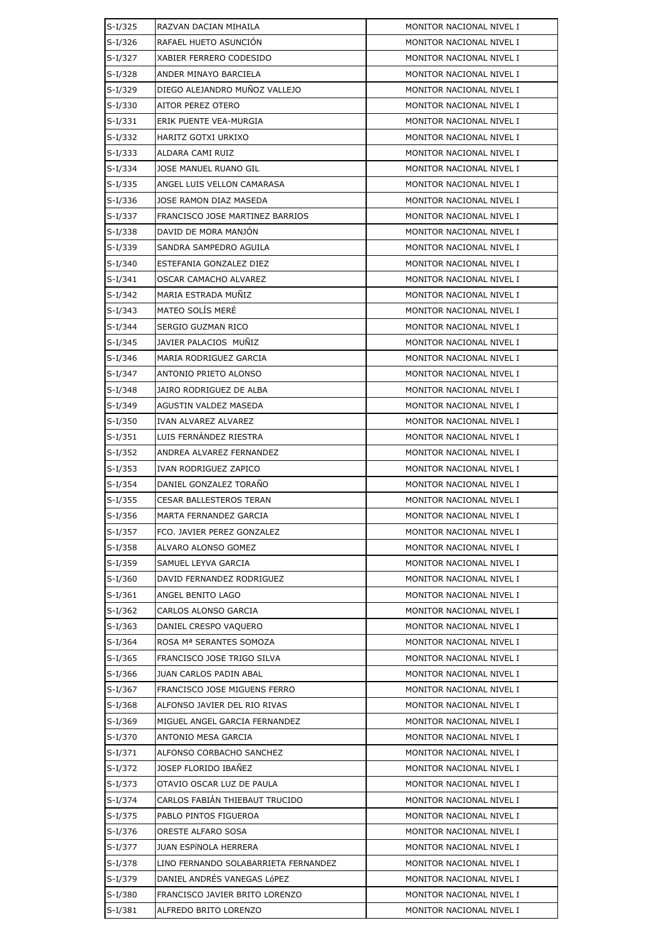| S-I/325   | RAZVAN DACIAN MIHAILA                | MONITOR NACIONAL NIVEL I |  |
|-----------|--------------------------------------|--------------------------|--|
| $S-I/326$ | RAFAEL HUETO ASUNCIÓN                | MONITOR NACIONAL NIVEL I |  |
| $S-I/327$ | XABIER FERRERO CODESIDO              | MONITOR NACIONAL NIVEL I |  |
| $S-I/328$ | ANDER MINAYO BARCIELA                | MONITOR NACIONAL NIVEL I |  |
| $S-I/329$ | DIEGO ALEJANDRO MUÑOZ VALLEJO        | MONITOR NACIONAL NIVEL I |  |
| $S-I/330$ | AITOR PEREZ OTERO                    | MONITOR NACIONAL NIVEL I |  |
| $S-I/331$ | ERIK PUENTE VEA-MURGIA               | MONITOR NACIONAL NIVEL I |  |
| $S-I/332$ | HARITZ GOTXI URKIXO                  | MONITOR NACIONAL NIVEL I |  |
| $S-I/333$ | ALDARA CAMI RUIZ                     | MONITOR NACIONAL NIVEL I |  |
| $S-I/334$ | JOSE MANUEL RUANO GIL                | MONITOR NACIONAL NIVEL I |  |
| $S-I/335$ | ANGEL LUIS VELLON CAMARASA           | MONITOR NACIONAL NIVEL I |  |
| $S-I/336$ | JOSE RAMON DIAZ MASEDA               | MONITOR NACIONAL NIVEL I |  |
| S-I/337   | FRANCISCO JOSE MARTINEZ BARRIOS      | MONITOR NACIONAL NIVEL I |  |
| $S-I/338$ | DAVID DE MORA MANJÓN                 | MONITOR NACIONAL NIVEL I |  |
| $S-I/339$ | SANDRA SAMPEDRO AGUILA               | MONITOR NACIONAL NIVEL I |  |
| $S-I/340$ | ESTEFANIA GONZALEZ DIEZ              | MONITOR NACIONAL NIVEL I |  |
| $S-I/341$ | OSCAR CAMACHO ALVAREZ                | MONITOR NACIONAL NIVEL I |  |
| $S-I/342$ | MARIA ESTRADA MUÑIZ                  | MONITOR NACIONAL NIVEL I |  |
| $S-I/343$ | MATEO SOLÍS MERÉ                     | MONITOR NACIONAL NIVEL I |  |
| $S-I/344$ | SERGIO GUZMAN RICO                   | MONITOR NACIONAL NIVEL I |  |
| $S-I/345$ | JAVIER PALACIOS MUNIZ                | MONITOR NACIONAL NIVEL I |  |
| $S-I/346$ | MARIA RODRIGUEZ GARCIA               | MONITOR NACIONAL NIVEL I |  |
| S-I/347   | ANTONIO PRIETO ALONSO                | MONITOR NACIONAL NIVEL I |  |
| $S-I/348$ | JAIRO RODRIGUEZ DE ALBA              | MONITOR NACIONAL NIVEL I |  |
| $S-I/349$ | AGUSTIN VALDEZ MASEDA                | MONITOR NACIONAL NIVEL I |  |
| $S-I/350$ | IVAN ALVAREZ ALVAREZ                 | MONITOR NACIONAL NIVEL I |  |
| $S-I/351$ | LUIS FERNÁNDEZ RIESTRA               | MONITOR NACIONAL NIVEL I |  |
| $S-I/352$ | ANDREA ALVAREZ FERNANDEZ             | MONITOR NACIONAL NIVEL I |  |
| $S-I/353$ | IVAN RODRIGUEZ ZAPICO                | MONITOR NACIONAL NIVEL I |  |
| $S-I/354$ | DANIEL GONZALEZ TORAÑO               | MONITOR NACIONAL NIVEL I |  |
| $S-I/355$ | CESAR BALLESTEROS TERAN              | MONITOR NACIONAL NIVEL I |  |
| $S-I/356$ | MARTA FERNANDEZ GARCIA               | MONITOR NACIONAL NIVEL I |  |
| S-I/357   | FCO. JAVIER PEREZ GONZALEZ           | MONITOR NACIONAL NIVEL I |  |
| $S-I/358$ | ALVARO ALONSO GOMEZ                  | MONITOR NACIONAL NIVEL I |  |
| S-I/359   | SAMUEL LEYVA GARCIA                  | MONITOR NACIONAL NIVEL I |  |
| $S-I/360$ | DAVID FERNANDEZ RODRIGUEZ            | MONITOR NACIONAL NIVEL I |  |
| $S-I/361$ | ANGEL BENITO LAGO                    | MONITOR NACIONAL NIVEL I |  |
| $S-I/362$ | CARLOS ALONSO GARCIA                 | MONITOR NACIONAL NIVEL I |  |
| $S-I/363$ | DANIEL CRESPO VAQUERO                | MONITOR NACIONAL NIVEL I |  |
| S-I/364   | ROSA Mª SERANTES SOMOZA              | MONITOR NACIONAL NIVEL I |  |
| $S-I/365$ | FRANCISCO JOSE TRIGO SILVA           | MONITOR NACIONAL NIVEL I |  |
| S-I/366   | JUAN CARLOS PADIN ABAL               | MONITOR NACIONAL NIVEL I |  |
| $S-I/367$ | FRANCISCO JOSE MIGUENS FERRO         | MONITOR NACIONAL NIVEL I |  |
| $S-I/368$ | ALFONSO JAVIER DEL RIO RIVAS         | MONITOR NACIONAL NIVEL I |  |
| $S-I/369$ | MIGUEL ANGEL GARCIA FERNANDEZ        | MONITOR NACIONAL NIVEL I |  |
| S-I/370   | ANTONIO MESA GARCIA                  | MONITOR NACIONAL NIVEL I |  |
| $S-I/371$ | ALFONSO CORBACHO SANCHEZ             | MONITOR NACIONAL NIVEL I |  |
| S-I/372   | JOSEP FLORIDO IBAÑEZ                 | MONITOR NACIONAL NIVEL I |  |
| S-I/373   | OTAVIO OSCAR LUZ DE PAULA            | MONITOR NACIONAL NIVEL I |  |
| $S-I/374$ | CARLOS FABIAN THIEBAUT TRUCIDO       | MONITOR NACIONAL NIVEL I |  |
| S-I/375   | PABLO PINTOS FIGUEROA                | MONITOR NACIONAL NIVEL I |  |
| $S-I/376$ | ORESTE ALFARO SOSA                   | MONITOR NACIONAL NIVEL I |  |
| $S-I/377$ | JUAN ESPÍNOLA HERRERA                | MONITOR NACIONAL NIVEL I |  |
| $S-I/378$ | LINO FERNANDO SOLABARRIETA FERNANDEZ | MONITOR NACIONAL NIVEL I |  |
| $S-I/379$ | DANIEL ANDRÉS VANEGAS LÓPEZ          | MONITOR NACIONAL NIVEL I |  |
| S-I/380   | FRANCISCO JAVIER BRITO LORENZO       | MONITOR NACIONAL NIVEL I |  |
| S-I/381   | ALFREDO BRITO LORENZO                | MONITOR NACIONAL NIVEL I |  |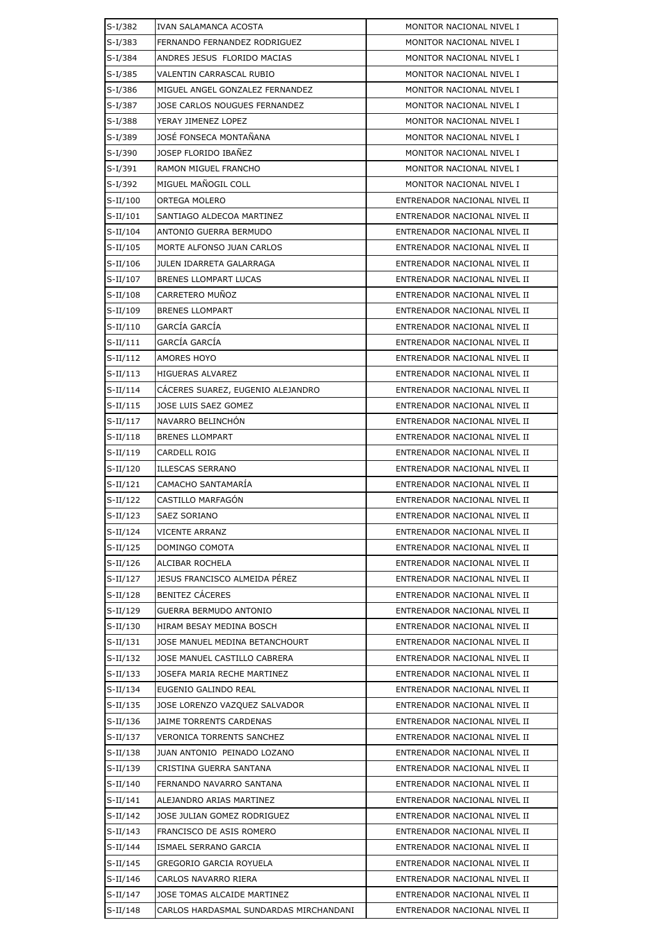| $S-I/382$  | IVAN SALAMANCA ACOSTA                  | MONITOR NACIONAL NIVEL I     |  |  |
|------------|----------------------------------------|------------------------------|--|--|
| $S-I/383$  | FERNANDO FERNANDEZ RODRIGUEZ           | MONITOR NACIONAL NIVEL I     |  |  |
| $S-I/384$  | ANDRES JESUS FLORIDO MACIAS            | MONITOR NACIONAL NIVEL I     |  |  |
| $S-I/385$  | VALENTIN CARRASCAL RUBIO               | MONITOR NACIONAL NIVEL I     |  |  |
| $S-I/386$  | MIGUEL ANGEL GONZALEZ FERNANDEZ        | MONITOR NACIONAL NIVEL I     |  |  |
| S-I/387    | JOSE CARLOS NOUGUES FERNANDEZ          | MONITOR NACIONAL NIVEL I     |  |  |
| $S-I/388$  | YERAY JIMENEZ LOPEZ                    | MONITOR NACIONAL NIVEL I     |  |  |
| S-I/389    | JOSÉ FONSECA MONTAÑANA                 | MONITOR NACIONAL NIVEL I     |  |  |
| S-I/390    | JOSEP FLORIDO IBAÑEZ                   | MONITOR NACIONAL NIVEL I     |  |  |
| $S-I/391$  | RAMON MIGUEL FRANCHO                   | MONITOR NACIONAL NIVEL I     |  |  |
| $S-I/392$  | MIGUEL MAÑOGIL COLL                    | MONITOR NACIONAL NIVEL I     |  |  |
| $S-II/100$ | ORTEGA MOLERO                          | ENTRENADOR NACIONAL NIVEL II |  |  |
| $S-II/101$ | SANTIAGO ALDECOA MARTINEZ              | ENTRENADOR NACIONAL NIVEL II |  |  |
| $S-II/104$ | ANTONIO GUERRA BERMUDO                 | ENTRENADOR NACIONAL NIVEL II |  |  |
| $S-II/105$ | MORTE ALFONSO JUAN CARLOS              | ENTRENADOR NACIONAL NIVEL II |  |  |
| $S-II/106$ | JULEN IDARRETA GALARRAGA               | ENTRENADOR NACIONAL NIVEL II |  |  |
| $S-II/107$ | <b>BRENES LLOMPART LUCAS</b>           | ENTRENADOR NACIONAL NIVEL II |  |  |
| $S-II/108$ | CARRETERO MUÑOZ                        | ENTRENADOR NACIONAL NIVEL II |  |  |
| $S-II/109$ | <b>BRENES LLOMPART</b>                 | ENTRENADOR NACIONAL NIVEL II |  |  |
| $S-II/110$ | GARCÍA GARCÍA                          | ENTRENADOR NACIONAL NIVEL II |  |  |
| $S-II/111$ | GARCÍA GARCÍA                          | ENTRENADOR NACIONAL NIVEL II |  |  |
| $S-II/112$ | <b>AMORES HOYO</b>                     | ENTRENADOR NACIONAL NIVEL II |  |  |
| $S-II/113$ | HIGUERAS ALVAREZ                       | ENTRENADOR NACIONAL NIVEL II |  |  |
| $S-II/114$ | CÁCERES SUAREZ, EUGENIO ALEJANDRO      | ENTRENADOR NACIONAL NIVEL II |  |  |
| $S-II/115$ | JOSE LUIS SAEZ GOMEZ                   | ENTRENADOR NACIONAL NIVEL II |  |  |
| $S-II/117$ | NAVARRO BELINCHON                      | ENTRENADOR NACIONAL NIVEL II |  |  |
| $S-II/118$ | <b>BRENES LLOMPART</b>                 | ENTRENADOR NACIONAL NIVEL II |  |  |
| $S-II/119$ | CARDELL ROIG                           | ENTRENADOR NACIONAL NIVEL II |  |  |
| $S-II/120$ | ILLESCAS SERRANO                       | ENTRENADOR NACIONAL NIVEL II |  |  |
| $S-II/121$ | CAMACHO SANTAMARÍA                     | ENTRENADOR NACIONAL NIVEL II |  |  |
| $S-II/122$ | CASTILLO MARFAGÓN                      | ENTRENADOR NACIONAL NIVEL II |  |  |
| $S-II/123$ | SAEZ SORIANO                           | ENTRENADOR NACIONAL NIVEL II |  |  |
| S-II/124   | <b>VICENTE ARRANZ</b>                  | ENTRENADOR NACIONAL NIVEL II |  |  |
| S-II/125   | DOMINGO COMOTA                         | ENTRENADOR NACIONAL NIVEL II |  |  |
| $S-II/126$ | ALCIBAR ROCHELA                        | ENTRENADOR NACIONAL NIVEL II |  |  |
| $S-II/127$ | JESUS FRANCISCO ALMEIDA PÉREZ          | ENTRENADOR NACIONAL NIVEL II |  |  |
| $S-II/128$ | <b>BENITEZ CÁCERES</b>                 | ENTRENADOR NACIONAL NIVEL II |  |  |
| $S-II/129$ | <b>GUERRA BERMUDO ANTONIO</b>          | ENTRENADOR NACIONAL NIVEL II |  |  |
| $S-II/130$ | HIRAM BESAY MEDINA BOSCH               | ENTRENADOR NACIONAL NIVEL II |  |  |
| S-II/131   | JOSE MANUEL MEDINA BETANCHOURT         | ENTRENADOR NACIONAL NIVEL II |  |  |
| $S-II/132$ | JOSE MANUEL CASTILLO CABRERA           | ENTRENADOR NACIONAL NIVEL II |  |  |
| S-II/133   | JOSEFA MARIA RECHE MARTINEZ            | ENTRENADOR NACIONAL NIVEL II |  |  |
| $S-II/134$ | EUGENIO GALINDO REAL                   | ENTRENADOR NACIONAL NIVEL II |  |  |
| S-II/135   | JOSE LORENZO VAZQUEZ SALVADOR          | ENTRENADOR NACIONAL NIVEL II |  |  |
| S-II/136   | JAIME TORRENTS CARDENAS                | ENTRENADOR NACIONAL NIVEL II |  |  |
| S-II/137   | <b>VERONICA TORRENTS SANCHEZ</b>       | ENTRENADOR NACIONAL NIVEL II |  |  |
| $S-II/138$ | JUAN ANTONIO PEINADO LOZANO            | ENTRENADOR NACIONAL NIVEL II |  |  |
| $S-II/139$ | CRISTINA GUERRA SANTANA                | ENTRENADOR NACIONAL NIVEL II |  |  |
| $S-II/140$ | FERNANDO NAVARRO SANTANA               | ENTRENADOR NACIONAL NIVEL II |  |  |
| $S-II/141$ | ALEJANDRO ARIAS MARTINEZ               | ENTRENADOR NACIONAL NIVEL II |  |  |
| $S-II/142$ | JOSE JULIAN GOMEZ RODRIGUEZ            | ENTRENADOR NACIONAL NIVEL II |  |  |
| $S-II/143$ | FRANCISCO DE ASIS ROMERO               | ENTRENADOR NACIONAL NIVEL II |  |  |
| $S-II/144$ | ISMAEL SERRANO GARCIA                  | ENTRENADOR NACIONAL NIVEL II |  |  |
| S-II/145   | GREGORIO GARCIA ROYUELA                | ENTRENADOR NACIONAL NIVEL II |  |  |
| $S-II/146$ | CARLOS NAVARRO RIERA                   | ENTRENADOR NACIONAL NIVEL II |  |  |
| $S-II/147$ | JOSE TOMAS ALCAIDE MARTINEZ            | ENTRENADOR NACIONAL NIVEL II |  |  |
| $S-II/148$ | CARLOS HARDASMAL SUNDARDAS MIRCHANDANI | ENTRENADOR NACIONAL NIVEL II |  |  |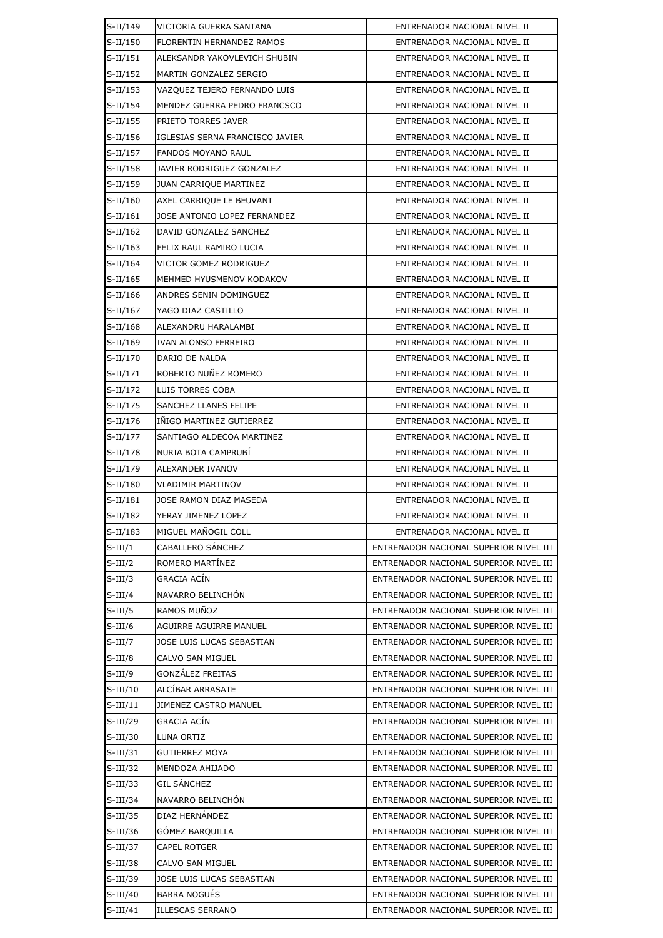| $S-II/149$  | VICTORIA GUERRA SANTANA         | ENTRENADOR NACIONAL NIVEL II           |
|-------------|---------------------------------|----------------------------------------|
| $S-II/150$  | FLORENTIN HERNANDEZ RAMOS       | ENTRENADOR NACIONAL NIVEL II           |
| $S-II/151$  | ALEKSANDR YAKOVLEVICH SHUBIN    | ENTRENADOR NACIONAL NIVEL II           |
| $S-II/152$  | MARTIN GONZALEZ SERGIO          | ENTRENADOR NACIONAL NIVEL II           |
| $S-II/153$  | VAZQUEZ TEJERO FERNANDO LUIS    | ENTRENADOR NACIONAL NIVEL II           |
| $S-II/154$  | MENDEZ GUERRA PEDRO FRANCSCO    | ENTRENADOR NACIONAL NIVEL II           |
| $S-II/155$  | PRIETO TORRES JAVER             | ENTRENADOR NACIONAL NIVEL II           |
| $S-II/156$  | IGLESIAS SERNA FRANCISCO JAVIER | ENTRENADOR NACIONAL NIVEL II           |
| $S-II/157$  | FANDOS MOYANO RAUL              | ENTRENADOR NACIONAL NIVEL II           |
| $S-II/158$  | JAVIER RODRIGUEZ GONZALEZ       | ENTRENADOR NACIONAL NIVEL II           |
| $S-II/159$  | <b>JUAN CARRIQUE MARTINEZ</b>   | ENTRENADOR NACIONAL NIVEL II           |
| $S-II/160$  | AXEL CARRIQUE LE BEUVANT        | ENTRENADOR NACIONAL NIVEL II           |
| $S-II/161$  | JOSE ANTONIO LOPEZ FERNANDEZ    | ENTRENADOR NACIONAL NIVEL II           |
| $S-II/162$  | DAVID GONZALEZ SANCHEZ          | ENTRENADOR NACIONAL NIVEL II           |
| $S-II/163$  | FELIX RAUL RAMIRO LUCIA         | ENTRENADOR NACIONAL NIVEL II           |
| $S-II/164$  | VICTOR GOMEZ RODRIGUEZ          | ENTRENADOR NACIONAL NIVEL II           |
| $S-II/165$  | MEHMED HYUSMENOV KODAKOV        | ENTRENADOR NACIONAL NIVEL II           |
| $S-II/166$  | ANDRES SENIN DOMINGUEZ          | ENTRENADOR NACIONAL NIVEL II           |
| $S-II/167$  | YAGO DIAZ CASTILLO              | ENTRENADOR NACIONAL NIVEL II           |
| $S-II/168$  | ALEXANDRU HARALAMBI             | ENTRENADOR NACIONAL NIVEL II           |
| $S-II/169$  | IVAN ALONSO FERREIRO            | ENTRENADOR NACIONAL NIVEL II           |
| $S-II/170$  | DARIO DE NALDA                  | ENTRENADOR NACIONAL NIVEL II           |
| $S-II/171$  | ROBERTO NUÑEZ ROMERO            | ENTRENADOR NACIONAL NIVEL II           |
| $S-II/172$  | LUIS TORRES COBA                | ENTRENADOR NACIONAL NIVEL II           |
| $S-II/175$  | SANCHEZ LLANES FELIPE           | ENTRENADOR NACIONAL NIVEL II           |
| $S-II/176$  | INIGO MARTINEZ GUTIERREZ        | ENTRENADOR NACIONAL NIVEL II           |
| $S-II/177$  | SANTIAGO ALDECOA MARTINEZ       | ENTRENADOR NACIONAL NIVEL II           |
| $S-II/178$  | NURIA BOTA CAMPRUBÍ             | ENTRENADOR NACIONAL NIVEL II           |
| $S-II/179$  | ALEXANDER IVANOV                | ENTRENADOR NACIONAL NIVEL II           |
| $S-II/180$  | VLADIMIR MARTINOV               | ENTRENADOR NACIONAL NIVEL II           |
| $S-II/181$  | JOSE RAMON DIAZ MASEDA          | ENTRENADOR NACIONAL NIVEL II           |
| $S-II/182$  | YERAY JIMENEZ LOPEZ             | ENTRENADOR NACIONAL NIVEL II           |
| $S-II/183$  | MIGUEL MAÑOGIL COLL             | ENTRENADOR NACIONAL NIVEL II           |
| $S-III/1$   | CABALLERO SÁNCHEZ               | ENTRENADOR NACIONAL SUPERIOR NIVEL III |
| $S$ -III/2  | ROMERO MARTÍNEZ                 | ENTRENADOR NACIONAL SUPERIOR NIVEL III |
| $S$ -III/3  | <b>GRACIA ACÍN</b>              | ENTRENADOR NACIONAL SUPERIOR NIVEL III |
| $S$ -III/4  | NAVARRO BELINCHÓN               | ENTRENADOR NACIONAL SUPERIOR NIVEL III |
| $S$ -III/5  | RAMOS MUÑOZ                     | ENTRENADOR NACIONAL SUPERIOR NIVEL III |
| $S$ -III/6  | AGUIRRE AGUIRRE MANUEL          | ENTRENADOR NACIONAL SUPERIOR NIVEL III |
| $S-III/7$   | JOSE LUIS LUCAS SEBASTIAN       | ENTRENADOR NACIONAL SUPERIOR NIVEL III |
| $S$ -III/8  | CALVO SAN MIGUEL                | ENTRENADOR NACIONAL SUPERIOR NIVEL III |
| $S$ -III/9  | <b>GONZALEZ FREITAS</b>         | ENTRENADOR NACIONAL SUPERIOR NIVEL III |
| $S-III/10$  | ALCÍBAR ARRASATE                | ENTRENADOR NACIONAL SUPERIOR NIVEL III |
| $S-III/11$  | JIMENEZ CASTRO MANUEL           | ENTRENADOR NACIONAL SUPERIOR NIVEL III |
| $S-III/29$  | GRACIA ACÍN                     | ENTRENADOR NACIONAL SUPERIOR NIVEL III |
| $S-III/30$  | LUNA ORTIZ                      | ENTRENADOR NACIONAL SUPERIOR NIVEL III |
| $S$ -III/31 | <b>GUTIERREZ MOYA</b>           | ENTRENADOR NACIONAL SUPERIOR NIVEL III |
| $S-III/32$  | MENDOZA AHIJADO                 | ENTRENADOR NACIONAL SUPERIOR NIVEL III |
| $S$ -III/33 | <b>GIL SÁNCHEZ</b>              | ENTRENADOR NACIONAL SUPERIOR NIVEL III |
| $S$ -III/34 | NAVARRO BELINCHÓN               | ENTRENADOR NACIONAL SUPERIOR NIVEL III |
| $S-III/35$  | DIAZ HERNÁNDEZ                  | ENTRENADOR NACIONAL SUPERIOR NIVEL III |
| $S$ -III/36 | GÓMEZ BARQUILLA                 | ENTRENADOR NACIONAL SUPERIOR NIVEL III |
| $S-III/37$  | <b>CAPEL ROTGER</b>             | ENTRENADOR NACIONAL SUPERIOR NIVEL III |
| $S$ -III/38 | CALVO SAN MIGUEL                | ENTRENADOR NACIONAL SUPERIOR NIVEL III |
| $S-III/39$  | JOSE LUIS LUCAS SEBASTIAN       | ENTRENADOR NACIONAL SUPERIOR NIVEL III |
| $S-III/40$  | <b>BARRA NOGUÉS</b>             | ENTRENADOR NACIONAL SUPERIOR NIVEL III |
| $S-III/41$  | <b>ILLESCAS SERRANO</b>         | ENTRENADOR NACIONAL SUPERIOR NIVEL III |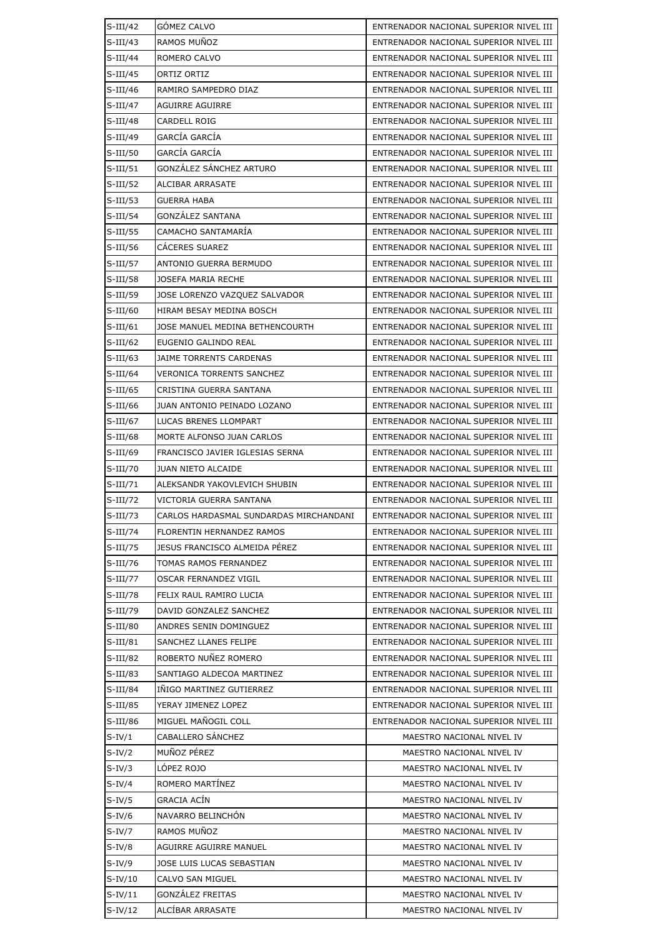| $S-III/42$  | GÓMEZ CALVO                            | ENTRENADOR NACIONAL SUPERIOR NIVEL III |
|-------------|----------------------------------------|----------------------------------------|
| $S-III/43$  | RAMOS MUÑOZ                            | ENTRENADOR NACIONAL SUPERIOR NIVEL III |
| $S$ -III/44 | ROMERO CALVO                           | ENTRENADOR NACIONAL SUPERIOR NIVEL III |
| $S$ -III/45 | ORTIZ ORTIZ                            | ENTRENADOR NACIONAL SUPERIOR NIVEL III |
| $S-III/46$  | RAMIRO SAMPEDRO DIAZ                   | ENTRENADOR NACIONAL SUPERIOR NIVEL III |
| $S-III/47$  | <b>AGUIRRE AGUIRRE</b>                 | ENTRENADOR NACIONAL SUPERIOR NIVEL III |
| $S$ -III/48 | CARDELL ROIG                           | ENTRENADOR NACIONAL SUPERIOR NIVEL III |
| $S-III/49$  | <b>GARCÍA GARCÍA</b>                   | ENTRENADOR NACIONAL SUPERIOR NIVEL III |
| $S$ -III/50 | GARCÍA GARCÍA                          | ENTRENADOR NACIONAL SUPERIOR NIVEL III |
| $S-III/51$  | GONZÁLEZ SÁNCHEZ ARTURO                | ENTRENADOR NACIONAL SUPERIOR NIVEL III |
| $S$ -III/52 | ALCIBAR ARRASATE                       | ENTRENADOR NACIONAL SUPERIOR NIVEL III |
| $S$ -III/53 | GUERRA HABA                            | ENTRENADOR NACIONAL SUPERIOR NIVEL III |
| $S$ -III/54 | <b>GONZALEZ SANTANA</b>                | ENTRENADOR NACIONAL SUPERIOR NIVEL III |
| $S$ -III/55 | CAMACHO SANTAMARÍA                     | ENTRENADOR NACIONAL SUPERIOR NIVEL III |
| $S$ -III/56 | CACERES SUAREZ                         | ENTRENADOR NACIONAL SUPERIOR NIVEL III |
| $S$ -III/57 | ANTONIO GUERRA BERMUDO                 | ENTRENADOR NACIONAL SUPERIOR NIVEL III |
| $S$ -III/58 | <b>JOSEFA MARIA RECHE</b>              | ENTRENADOR NACIONAL SUPERIOR NIVEL III |
| $S$ -III/59 | JOSE LORENZO VAZQUEZ SALVADOR          | ENTRENADOR NACIONAL SUPERIOR NIVEL III |
| $S-III/60$  | HIRAM BESAY MEDINA BOSCH               | ENTRENADOR NACIONAL SUPERIOR NIVEL III |
| $S$ -III/61 | JOSE MANUEL MEDINA BETHENCOURTH        | ENTRENADOR NACIONAL SUPERIOR NIVEL III |
| $S$ -III/62 | EUGENIO GALINDO REAL                   | ENTRENADOR NACIONAL SUPERIOR NIVEL III |
| $S$ -III/63 | JAIME TORRENTS CARDENAS                | ENTRENADOR NACIONAL SUPERIOR NIVEL III |
| $S$ -III/64 | VERONICA TORRENTS SANCHEZ              | ENTRENADOR NACIONAL SUPERIOR NIVEL III |
| $S$ -III/65 | CRISTINA GUERRA SANTANA                | ENTRENADOR NACIONAL SUPERIOR NIVEL III |
| $S$ -III/66 | JUAN ANTONIO PEINADO LOZANO            | ENTRENADOR NACIONAL SUPERIOR NIVEL III |
| $S$ -III/67 | LUCAS BRENES LLOMPART                  | ENTRENADOR NACIONAL SUPERIOR NIVEL III |
| $S$ -III/68 | MORTE ALFONSO JUAN CARLOS              | ENTRENADOR NACIONAL SUPERIOR NIVEL III |
| $S$ -III/69 | FRANCISCO JAVIER IGLESIAS SERNA        | ENTRENADOR NACIONAL SUPERIOR NIVEL III |
| $S-III/70$  | JUAN NIETO ALCAIDE                     | ENTRENADOR NACIONAL SUPERIOR NIVEL III |
| $S-III/71$  | ALEKSANDR YAKOVLEVICH SHUBIN           | ENTRENADOR NACIONAL SUPERIOR NIVEL III |
| $S-III/72$  | VICTORIA GUERRA SANTANA                | ENTRENADOR NACIONAL SUPERIOR NIVEL III |
| $S-III/73$  | CARLOS HARDASMAL SUNDARDAS MIRCHANDANI | ENTRENADOR NACIONAL SUPERIOR NIVEL III |
| $S-III/74$  | FLORENTIN HERNANDEZ RAMOS              | ENTRENADOR NACIONAL SUPERIOR NIVEL III |
| $S-III/75$  | JESUS FRANCISCO ALMEIDA PÉREZ          | ENTRENADOR NACIONAL SUPERIOR NIVEL III |
| $S-III/76$  | TOMAS RAMOS FERNANDEZ                  | ENTRENADOR NACIONAL SUPERIOR NIVEL III |
| $S-III/77$  | OSCAR FERNANDEZ VIGIL                  | ENTRENADOR NACIONAL SUPERIOR NIVEL III |
| $S$ -III/78 | FELIX RAUL RAMIRO LUCIA                | ENTRENADOR NACIONAL SUPERIOR NIVEL III |
| $S-III/79$  | DAVID GONZALEZ SANCHEZ                 | ENTRENADOR NACIONAL SUPERIOR NIVEL III |
| $S-III/80$  | ANDRES SENIN DOMINGUEZ                 | ENTRENADOR NACIONAL SUPERIOR NIVEL III |
| $S-III/81$  | SANCHEZ LLANES FELIPE                  | ENTRENADOR NACIONAL SUPERIOR NIVEL III |
| $S$ -III/82 | ROBERTO NUÑEZ ROMERO                   | ENTRENADOR NACIONAL SUPERIOR NIVEL III |
| $S$ -III/83 | SANTIAGO ALDECOA MARTINEZ              | ENTRENADOR NACIONAL SUPERIOR NIVEL III |
| $S$ -III/84 | INIGO MARTINEZ GUTIERREZ               | ENTRENADOR NACIONAL SUPERIOR NIVEL III |
| $S$ -III/85 | YERAY JIMENEZ LOPEZ                    | ENTRENADOR NACIONAL SUPERIOR NIVEL III |
| $S$ -III/86 | MIGUEL MAÑOGIL COLL                    | ENTRENADOR NACIONAL SUPERIOR NIVEL III |
| $S-IV/1$    | CABALLERO SÁNCHEZ                      | MAESTRO NACIONAL NIVEL IV              |
| $S-IV/2$    | MUÑOZ PÉREZ                            | MAESTRO NACIONAL NIVEL IV              |
| $S-IV/3$    | LÓPEZ ROJO                             | MAESTRO NACIONAL NIVEL IV              |
| $S-IV/4$    | ROMERO MARTINEZ                        | MAESTRO NACIONAL NIVEL IV              |
| $S-IV/5$    | GRACIA ACÍN                            | MAESTRO NACIONAL NIVEL IV              |
| $S-IV/6$    | NAVARRO BELINCHON                      | MAESTRO NACIONAL NIVEL IV              |
| $S-IV/7$    | RAMOS MUÑOZ                            | MAESTRO NACIONAL NIVEL IV              |
| $S-IV/8$    | AGUIRRE AGUIRRE MANUEL                 | MAESTRO NACIONAL NIVEL IV              |
| $S-IV/9$    | JOSE LUIS LUCAS SEBASTIAN              | MAESTRO NACIONAL NIVEL IV              |
| $S-IV/10$   | CALVO SAN MIGUEL                       | MAESTRO NACIONAL NIVEL IV              |
| $S-IV/11$   | GONZÁLEZ FREITAS                       | MAESTRO NACIONAL NIVEL IV              |
| $S-IV/12$   | ALCÍBAR ARRASATE                       | MAESTRO NACIONAL NIVEL IV              |